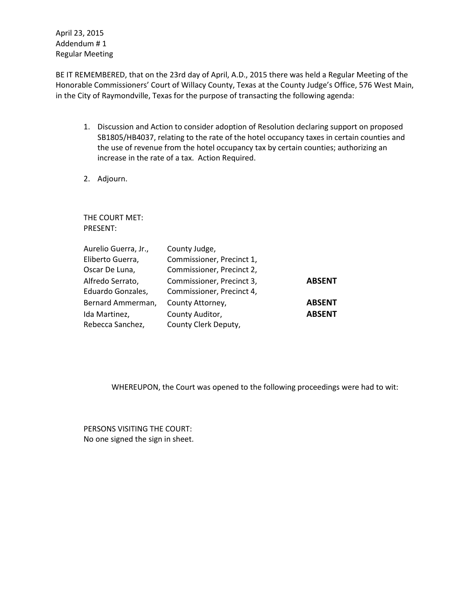April 23, 2015 Addendum # 1 Regular Meeting

BE IT REMEMBERED, that on the 23rd day of April, A.D., 2015 there was held a Regular Meeting of the Honorable Commissioners' Court of Willacy County, Texas at the County Judge's Office, 576 West Main, in the City of Raymondville, Texas for the purpose of transacting the following agenda:

- 1. Discussion and Action to consider adoption of Resolution declaring support on proposed SB1805/HB4037, relating to the rate of the hotel occupancy taxes in certain counties and the use of revenue from the hotel occupancy tax by certain counties; authorizing an increase in the rate of a tax. Action Required.
- 2. Adjourn.

THE COURT MET: PRESENT:

| Aurelio Guerra, Jr., | County Judge,             |               |
|----------------------|---------------------------|---------------|
| Eliberto Guerra,     | Commissioner, Precinct 1, |               |
| Oscar De Luna,       | Commissioner, Precinct 2, |               |
| Alfredo Serrato,     | Commissioner, Precinct 3, | <b>ABSENT</b> |
| Eduardo Gonzales,    | Commissioner, Precinct 4, |               |
| Bernard Ammerman,    | County Attorney,          | <b>ABSENT</b> |
| Ida Martinez,        | County Auditor,           | <b>ABSENT</b> |
| Rebecca Sanchez,     | County Clerk Deputy,      |               |

WHEREUPON, the Court was opened to the following proceedings were had to wit:

PERSONS VISITING THE COURT: No one signed the sign in sheet.